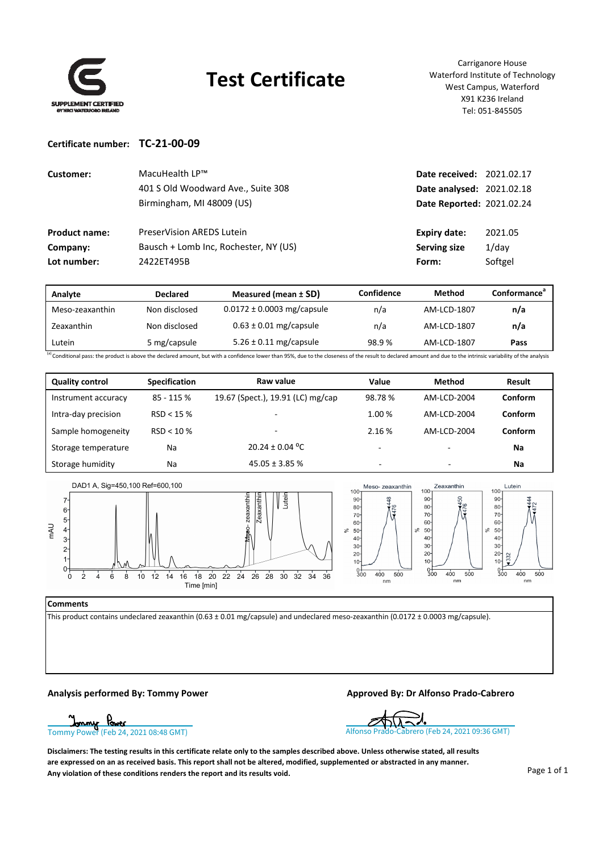

## **Test Certificate**

Carriganore House Waterford Institute of Technology West Campus, Waterford X91 K236 Ireland Tel: 051‐845505

#### **Certificate number: TC‐21‐00‐09**

| Customer:            | MacuHealth LP™<br>401 S Old Woodward Ave., Suite 308<br>Birmingham, MI 48009 (US) | <b>Date received: 2021.02.17</b><br>Date analysed: 2021.02.18<br>Date Reported: 2021.02.24 |          |
|----------------------|-----------------------------------------------------------------------------------|--------------------------------------------------------------------------------------------|----------|
| <b>Product name:</b> | <b>PreserVision AREDS Lutein</b>                                                  | Expiry date:                                                                               | 2021.05  |
| Company:             | Bausch + Lomb Inc, Rochester, NY (US)                                             | <b>Serving size</b>                                                                        | $1$ /day |
| Lot number:          | 2422ET495B                                                                        | Form:                                                                                      | Softgel  |

| Analyte         | <b>Declared</b> | Measured (mean $\pm$ SD)       | Confidence | Method      | Conformance <sup>®</sup> |
|-----------------|-----------------|--------------------------------|------------|-------------|--------------------------|
| Meso-zeaxanthin | Non disclosed   | $0.0172 \pm 0.0003$ mg/capsule | n/a        | AM-LCD-1807 | n/a                      |
| Zeaxanthin      | Non disclosed   | $0.63 \pm 0.01$ mg/capsule     | n/a        | AM-LCD-1807 | n/a                      |
| Lutein          | 5 mg/capsule    | $5.26 \pm 0.11$ mg/capsule     | 98.9%      | AM-LCD-1807 | Pass                     |

<sup>(a)</sup> Conditional pass: the product is above the declared amount, but with a confidence lower than 95%, due to the closeness of the result to declared amount and due to the intrinsic variability of the analysis

| <b>Quality control</b> | <b>Specification</b> | Raw value                         | Value                    | <b>Method</b>            | Result  |
|------------------------|----------------------|-----------------------------------|--------------------------|--------------------------|---------|
| Instrument accuracy    | 85 - 115 %           | 19.67 (Spect.), 19.91 (LC) mg/cap | 98.78%                   | AM-LCD-2004              | Conform |
| Intra-day precision    | RSD < 15%            |                                   | 1.00 %                   | AM-LCD-2004              | Conform |
| Sample homogeneity     | $RSD < 10 \%$        | $\overline{\phantom{a}}$          | 2.16 %                   | AM-LCD-2004              | Conform |
| Storage temperature    | Na                   | $20.24 \pm 0.04$ °C               | $\overline{\phantom{0}}$ |                          | Na      |
| Storage humidity       | Na                   | $45.05 \pm 3.85$ %                | -                        | $\overline{\phantom{a}}$ | Na      |



#### **Comments**

This product contains undeclared zeaxanthin (0.63 ± 0.01 mg/capsule) and undeclared meso‐zeaxanthin (0.0172 ± 0.0003 mg/capsule).

### **Analysis performed By: Tommy Power Approved By: Dr Alfonso Prado‐Cabrero**

[Tommy Power \(Feb 24, 2021 08:48 GMT\)](https://eu2.documents.adobe.com/verifier?tx=CBJCHBCAABAAqXX_Y3n0EjfOlSr6GcF1V5gostZRVA-m) Tommy Power (Feb 24, 2021 09:36 GMT)

Disclaimers: The testing results in this certificate relate only to the samples described above. Unless otherwise stated, all results are expressed on an as received basis. This report shall not be altered, modified, supplemented or abstracted in any manner. **Any violation of these conditions renders the report and its results void.**